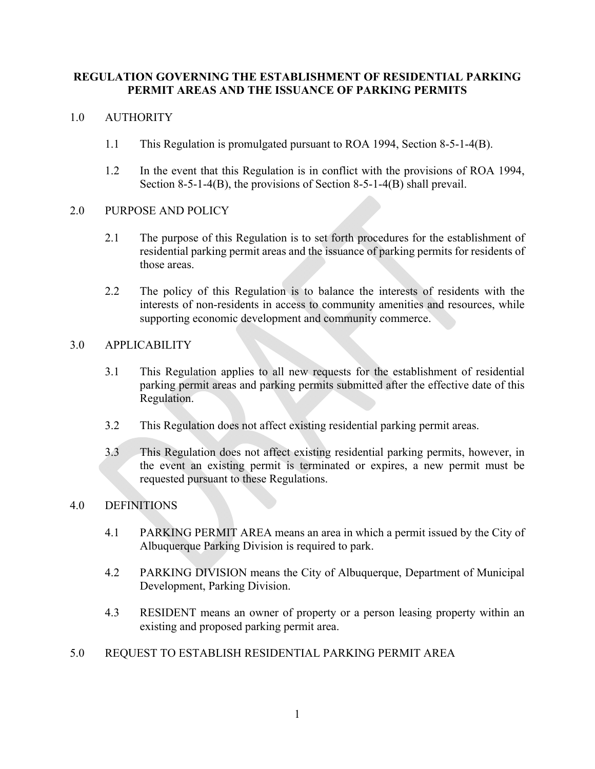# **REGULATION GOVERNING THE ESTABLISHMENT OF RESIDENTIAL PARKING PERMIT AREAS AND THE ISSUANCE OF PARKING PERMITS**

### 1.0 AUTHORITY

- 1.1 This Regulation is promulgated pursuant to ROA 1994, Section 8-5-1-4(B).
- 1.2 In the event that this Regulation is in conflict with the provisions of ROA 1994, Section 8-5-1-4(B), the provisions of Section 8-5-1-4(B) shall prevail.

#### 2.0 PURPOSE AND POLICY

- 2.1 The purpose of this Regulation is to set forth procedures for the establishment of residential parking permit areas and the issuance of parking permits for residents of those areas.
- 2.2 The policy of this Regulation is to balance the interests of residents with the interests of non-residents in access to community amenities and resources, while supporting economic development and community commerce.

## 3.0 APPLICABILITY

- 3.1 This Regulation applies to all new requests for the establishment of residential parking permit areas and parking permits submitted after the effective date of this Regulation.
- 3.2 This Regulation does not affect existing residential parking permit areas.
- 3.3 This Regulation does not affect existing residential parking permits, however, in the event an existing permit is terminated or expires, a new permit must be requested pursuant to these Regulations.

#### 4.0 DEFINITIONS

- 4.1 PARKING PERMIT AREA means an area in which a permit issued by the City of Albuquerque Parking Division is required to park.
- 4.2 PARKING DIVISION means the City of Albuquerque, Department of Municipal Development, Parking Division.
- 4.3 RESIDENT means an owner of property or a person leasing property within an existing and proposed parking permit area.

## 5.0 REQUEST TO ESTABLISH RESIDENTIAL PARKING PERMIT AREA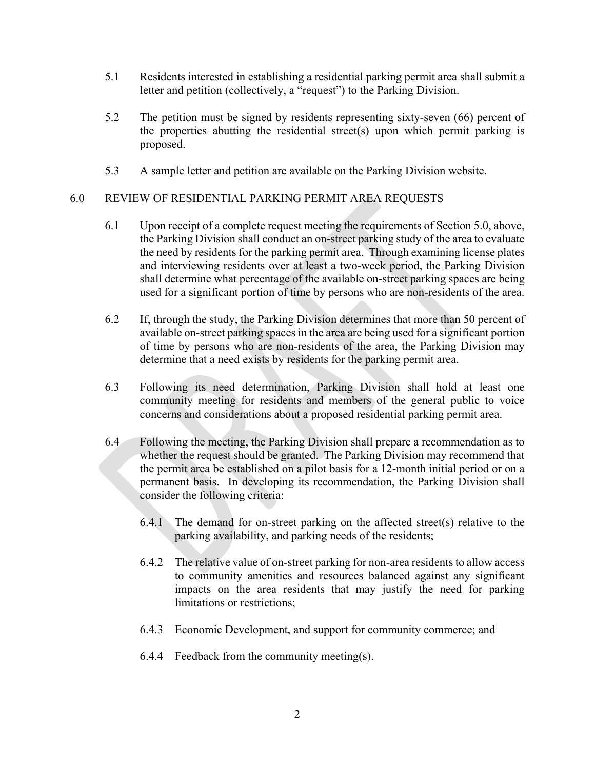- 5.1 Residents interested in establishing a residential parking permit area shall submit a letter and petition (collectively, a "request") to the Parking Division.
- 5.2 The petition must be signed by residents representing sixty-seven (66) percent of the properties abutting the residential street(s) upon which permit parking is proposed.
- 5.3 A sample letter and petition are available on the Parking Division website.

## 6.0 REVIEW OF RESIDENTIAL PARKING PERMIT AREA REQUESTS

- 6.1 Upon receipt of a complete request meeting the requirements of Section 5.0, above, the Parking Division shall conduct an on-street parking study of the area to evaluate the need by residents for the parking permit area. Through examining license plates and interviewing residents over at least a two-week period, the Parking Division shall determine what percentage of the available on-street parking spaces are being used for a significant portion of time by persons who are non-residents of the area.
- 6.2 If, through the study, the Parking Division determines that more than 50 percent of available on-street parking spaces in the area are being used for a significant portion of time by persons who are non-residents of the area, the Parking Division may determine that a need exists by residents for the parking permit area.
- 6.3 Following its need determination, Parking Division shall hold at least one community meeting for residents and members of the general public to voice concerns and considerations about a proposed residential parking permit area.
- 6.4 Following the meeting, the Parking Division shall prepare a recommendation as to whether the request should be granted. The Parking Division may recommend that the permit area be established on a pilot basis for a 12-month initial period or on a permanent basis. In developing its recommendation, the Parking Division shall consider the following criteria:
	- $6.4.1$  The demand for on-street parking on the affected street(s) relative to the parking availability, and parking needs of the residents;
	- 6.4.2 The relative value of on-street parking for non-area residents to allow access to community amenities and resources balanced against any significant impacts on the area residents that may justify the need for parking limitations or restrictions;
	- 6.4.3 Economic Development, and support for community commerce; and
	- 6.4.4 Feedback from the community meeting(s).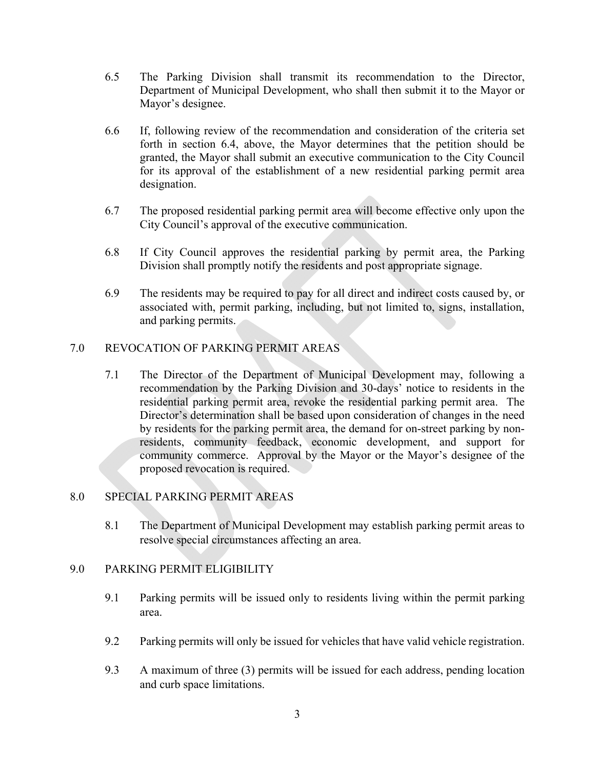- 6.5 The Parking Division shall transmit its recommendation to the Director, Department of Municipal Development, who shall then submit it to the Mayor or Mayor's designee.
- 6.6 If, following review of the recommendation and consideration of the criteria set forth in section 6.4, above, the Mayor determines that the petition should be granted, the Mayor shall submit an executive communication to the City Council for its approval of the establishment of a new residential parking permit area designation.
- 6.7 The proposed residential parking permit area will become effective only upon the City Council's approval of the executive communication.
- 6.8 If City Council approves the residential parking by permit area, the Parking Division shall promptly notify the residents and post appropriate signage.
- 6.9 The residents may be required to pay for all direct and indirect costs caused by, or associated with, permit parking, including, but not limited to, signs, installation, and parking permits.

## 7.0 REVOCATION OF PARKING PERMIT AREAS

7.1 The Director of the Department of Municipal Development may, following a recommendation by the Parking Division and 30-days' notice to residents in the residential parking permit area, revoke the residential parking permit area. The Director's determination shall be based upon consideration of changes in the need by residents for the parking permit area, the demand for on-street parking by nonresidents, community feedback, economic development, and support for community commerce. Approval by the Mayor or the Mayor's designee of the proposed revocation is required.

## 8.0 SPECIAL PARKING PERMIT AREAS

8.1 The Department of Municipal Development may establish parking permit areas to resolve special circumstances affecting an area.

#### 9.0 PARKING PERMIT ELIGIBILITY

- 9.1 Parking permits will be issued only to residents living within the permit parking area.
- 9.2 Parking permits will only be issued for vehicles that have valid vehicle registration.
- 9.3 A maximum of three (3) permits will be issued for each address, pending location and curb space limitations.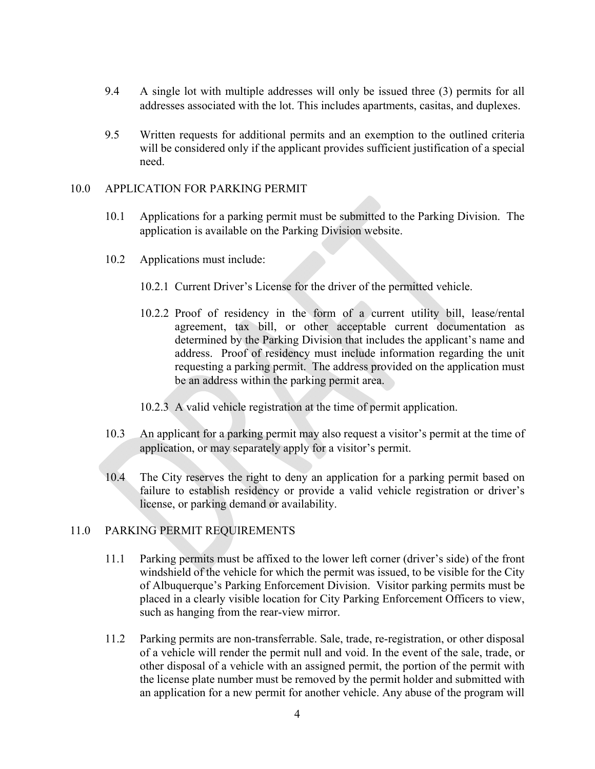- 9.4 A single lot with multiple addresses will only be issued three (3) permits for all addresses associated with the lot. This includes apartments, casitas, and duplexes.
- 9.5 Written requests for additional permits and an exemption to the outlined criteria will be considered only if the applicant provides sufficient justification of a special need.

#### 10.0 APPLICATION FOR PARKING PERMIT

- 10.1 Applications for a parking permit must be submitted to the Parking Division. The application is available on the Parking Division website.
- 10.2 Applications must include:
	- 10.2.1 Current Driver's License for the driver of the permitted vehicle.
	- 10.2.2 Proof of residency in the form of a current utility bill, lease/rental agreement, tax bill, or other acceptable current documentation as determined by the Parking Division that includes the applicant's name and address. Proof of residency must include information regarding the unit requesting a parking permit. The address provided on the application must be an address within the parking permit area.
	- 10.2.3 A valid vehicle registration at the time of permit application.
- 10.3 An applicant for a parking permit may also request a visitor's permit at the time of application, or may separately apply for a visitor's permit.
- 10.4 The City reserves the right to deny an application for a parking permit based on failure to establish residency or provide a valid vehicle registration or driver's license, or parking demand or availability.

# 11.0 PARKING PERMIT REQUIREMENTS

- 11.1 Parking permits must be affixed to the lower left corner (driver's side) of the front windshield of the vehicle for which the permit was issued, to be visible for the City of Albuquerque's Parking Enforcement Division. Visitor parking permits must be placed in a clearly visible location for City Parking Enforcement Officers to view, such as hanging from the rear-view mirror.
- 11.2 Parking permits are non-transferrable. Sale, trade, re-registration, or other disposal of a vehicle will render the permit null and void. In the event of the sale, trade, or other disposal of a vehicle with an assigned permit, the portion of the permit with the license plate number must be removed by the permit holder and submitted with an application for a new permit for another vehicle. Any abuse of the program will